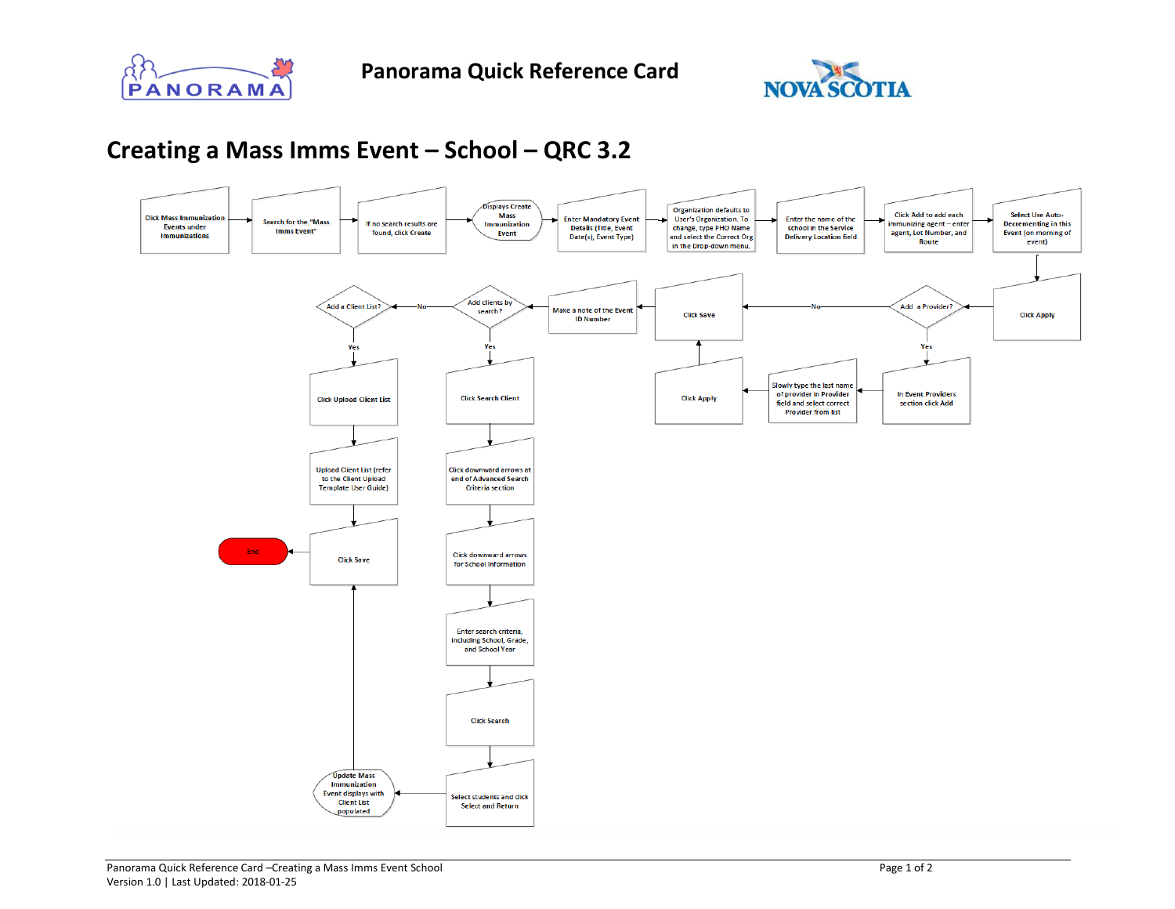



## **Creating a Mass Imms Event – School – QRC 3.2**